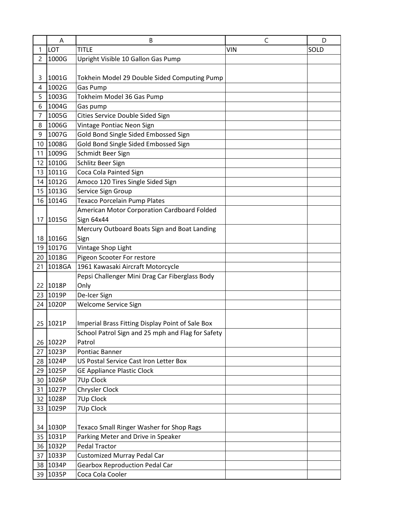|    | A        | B                                                 | C          | D    |
|----|----------|---------------------------------------------------|------------|------|
| 1  | LOT      | <b>TITLE</b>                                      | <b>VIN</b> | SOLD |
| 2  | 1000G    | Upright Visible 10 Gallon Gas Pump                |            |      |
|    |          |                                                   |            |      |
| 3  | 1001G    | Tokhein Model 29 Double Sided Computing Pump      |            |      |
| 4  | 1002G    | Gas Pump                                          |            |      |
| 5  | 1003G    | Tokheim Model 36 Gas Pump                         |            |      |
| 6  | 1004G    | Gas pump                                          |            |      |
| 7  | 1005G    | Cities Service Double Sided Sign                  |            |      |
| 8  | 1006G    | Vintage Pontiac Neon Sign                         |            |      |
| 9  | 1007G    | Gold Bond Single Sided Embossed Sign              |            |      |
| 10 | 1008G    | Gold Bond Single Sided Embossed Sign              |            |      |
| 11 | 1009G    | Schmidt Beer Sign                                 |            |      |
| 12 | 1010G    | Schlitz Beer Sign                                 |            |      |
| 13 | 1011G    | Coca Cola Painted Sign                            |            |      |
| 14 | 1012G    | Amoco 120 Tires Single Sided Sign                 |            |      |
| 15 | 1013G    | Service Sign Group                                |            |      |
| 16 | 1014G    | Texaco Porcelain Pump Plates                      |            |      |
|    |          | American Motor Corporation Cardboard Folded       |            |      |
| 17 | 1015G    | Sign 64x44                                        |            |      |
|    |          | Mercury Outboard Boats Sign and Boat Landing      |            |      |
| 18 | 1016G    | Sign                                              |            |      |
| 19 | 1017G    | Vintage Shop Light                                |            |      |
|    | 20 1018G | Pigeon Scooter For restore                        |            |      |
| 21 | 1018GA   | 1961 Kawasaki Aircraft Motorcycle                 |            |      |
|    |          | Pepsi Challenger Mini Drag Car Fiberglass Body    |            |      |
| 22 | 1018P    | Only                                              |            |      |
| 23 | 1019P    | De-Icer Sign                                      |            |      |
| 24 | 1020P    | <b>Welcome Service Sign</b>                       |            |      |
|    |          |                                                   |            |      |
| 25 | 1021P    | Imperial Brass Fitting Display Point of Sale Box  |            |      |
|    |          | School Patrol Sign and 25 mph and Flag for Safety |            |      |
| 26 | 1022P    | Patrol                                            |            |      |
| 27 | 1023P    | Pontiac Banner                                    |            |      |
|    | 28 1024P | US Postal Service Cast Iron Letter Box            |            |      |
|    | 29 1025P | <b>GE Appliance Plastic Clock</b>                 |            |      |
|    | 30 1026P | 7Up Clock                                         |            |      |
|    | 31 1027P | Chrysler Clock                                    |            |      |
| 32 | 1028P    | 7Up Clock                                         |            |      |
|    | 33 1029P | 7Up Clock                                         |            |      |
|    |          |                                                   |            |      |
|    | 34 1030P | <b>Texaco Small Ringer Washer for Shop Rags</b>   |            |      |
| 35 | 1031P    | Parking Meter and Drive in Speaker                |            |      |
|    | 36 1032P | <b>Pedal Tractor</b>                              |            |      |
| 37 | 1033P    | <b>Customized Murray Pedal Car</b>                |            |      |
| 38 | 1034P    | <b>Gearbox Reproduction Pedal Car</b>             |            |      |
|    | 39 1035P | Coca Cola Cooler                                  |            |      |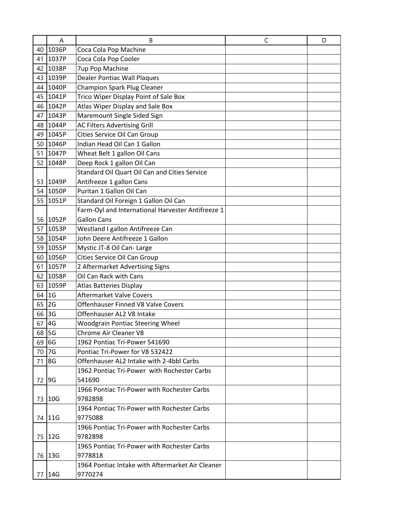|    | A        | B                                                 | C | D |
|----|----------|---------------------------------------------------|---|---|
|    | 40 1036P | Coca Cola Pop Machine                             |   |   |
| 41 | 1037P    | Coca Cola Pop Cooler                              |   |   |
|    | 42 1038P | 7up Pop Machine                                   |   |   |
|    | 43 1039P | <b>Dealer Pontiac Wall Plaques</b>                |   |   |
|    | 44 1040P | <b>Champion Spark Plug Cleaner</b>                |   |   |
|    | 45 1041P | Trico Wiper Display Point of Sale Box             |   |   |
|    | 46 1042P | Atlas Wiper Display and Sale Box                  |   |   |
| 47 | 1043P    | Maremount Single Sided Sign                       |   |   |
|    | 48 1044P | <b>AC Filters Advertising Grill</b>               |   |   |
|    | 49 1045P | Cities Service Oil Can Group                      |   |   |
| 50 | 1046P    | Indian Head Oil Can 1 Gallon                      |   |   |
| 51 | 1047P    | Wheat Belt 1 gallon Oil Cans                      |   |   |
|    | 52 1048P | Deep Rock 1 gallon Oil Can                        |   |   |
|    |          | Standard Oil Quart Oil Can and Cities Service     |   |   |
|    | 53 1049P | Antifreeze 1 gallon Cans                          |   |   |
|    | 54 1050P | Puritan 1 Gallon Oil Can                          |   |   |
|    | 55 1051P | Standard Oil Foreign 1 Gallon Oil Can             |   |   |
|    |          | Farm-Oyl and International Harvester Antifreeze 1 |   |   |
|    | 56 1052P | <b>Gallon Cans</b>                                |   |   |
| 57 | 1053P    | Westland I gallon Antifreeze Can                  |   |   |
|    | 58 1054P | John Deere Antifreeze 1 Gallon                    |   |   |
|    | 59 1055P | Mystic JT-8 Oil Can- Large                        |   |   |
|    | 60 1056P | Cities Service Oil Can Group                      |   |   |
|    | 61 1057P | 2 Aftermarket Advertising Signs                   |   |   |
| 62 | 1058P    | Oil Can Rack with Cans                            |   |   |
| 63 | 1059P    | <b>Atlas Batteries Display</b>                    |   |   |
| 64 | 1G       | <b>Aftermarket Valve Covers</b>                   |   |   |
| 65 | 2G       | Offenhauser Finned V8 Valve Covers                |   |   |
| 66 | 3G       | Offenhauser AL2 V8 Intake                         |   |   |
| 67 | 4G       | <b>Woodgrain Pontiac Steering Wheel</b>           |   |   |
|    | 68 5G    | Chrome Air Cleaner V8                             |   |   |
|    | $69$ 6G  | 1962 Pontiac Tri-Power 541690                     |   |   |
|    | 70 7G    | Pontiac Tri-Power for V8 532422                   |   |   |
|    | 71 8G    | Offenhauser AL2 Intake with 2-4bbl Carbs          |   |   |
|    |          | 1962 Pontiac Tri-Power with Rochester Carbs       |   |   |
|    | 72 9G    | 541690                                            |   |   |
|    |          | 1966 Pontiac Tri-Power with Rochester Carbs       |   |   |
|    | 73 10G   | 9782898                                           |   |   |
|    |          | 1964 Pontiac Tri-Power with Rochester Carbs       |   |   |
|    | 74 11G   | 9775088                                           |   |   |
|    |          | 1966 Pontiac Tri-Power with Rochester Carbs       |   |   |
|    | 75 12G   | 9782898                                           |   |   |
|    |          | 1965 Pontiac Tri-Power with Rochester Carbs       |   |   |
|    | 76 13G   | 9778818                                           |   |   |
|    |          | 1964 Pontiac Intake with Aftermarket Air Cleaner  |   |   |
|    | 77   14G | 9770274                                           |   |   |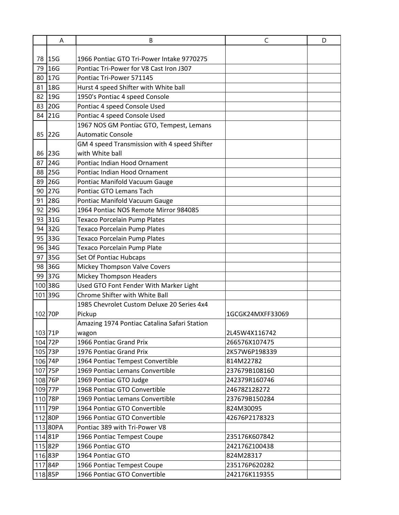|    | A          | B                                            | C                | D |
|----|------------|----------------------------------------------|------------------|---|
|    |            |                                              |                  |   |
|    | 78 15G     | 1966 Pontiac GTO Tri-Power Intake 9770275    |                  |   |
| 79 | 16G        | Pontiac Tri-Power for V8 Cast Iron J307      |                  |   |
| 80 | 17G        | Pontiac Tri-Power 571145                     |                  |   |
| 81 | 18G        | Hurst 4 speed Shifter with White ball        |                  |   |
| 82 | 19G        | 1950's Pontiac 4 speed Console               |                  |   |
| 83 | 20G        | Pontiac 4 speed Console Used                 |                  |   |
| 84 | 21G        | Pontiac 4 speed Console Used                 |                  |   |
|    |            | 1967 NOS GM Pontiac GTO, Tempest, Lemans     |                  |   |
|    | 85 22G     | <b>Automatic Console</b>                     |                  |   |
|    |            | GM 4 speed Transmission with 4 speed Shifter |                  |   |
| 86 | <b>23G</b> | with White ball                              |                  |   |
| 87 | 24G        | Pontiac Indian Hood Ornament                 |                  |   |
| 88 | 25G        | Pontiac Indian Hood Ornament                 |                  |   |
| 89 | <b>26G</b> | Pontiac Manifold Vacuum Gauge                |                  |   |
| 90 | 27G        | Pontiac GTO Lemans Tach                      |                  |   |
| 91 | 28G        | Pontiac Manifold Vacuum Gauge                |                  |   |
| 92 | 29G        | 1964 Pontiac NOS Remote Mirror 984085        |                  |   |
| 93 | 31G        | <b>Texaco Porcelain Pump Plates</b>          |                  |   |
|    | 94 32G     | <b>Texaco Porcelain Pump Plates</b>          |                  |   |
| 95 | 33G        | Texaco Porcelain Pump Plates                 |                  |   |
|    | 96 34G     | Texaco Porcelain Pump Plate                  |                  |   |
| 97 | 35G        | Set Of Pontiac Hubcaps                       |                  |   |
| 98 | <b>36G</b> | Mickey Thompson Valve Covers                 |                  |   |
| 99 | 37G        | <b>Mickey Thompson Headers</b>               |                  |   |
|    | 100 38G    | Used GTO Font Fender With Marker Light       |                  |   |
|    | 101 39G    | Chrome Shifter with White Ball               |                  |   |
|    |            | 1985 Chevrolet Custom Deluxe 20 Series 4x4   |                  |   |
|    | 102 70P    | Pickup                                       | 1GCGK24MXFF33069 |   |
|    |            | Amazing 1974 Pontiac Catalina Safari Station |                  |   |
|    | 103 71P    | wagon                                        | 2L45W4X116742    |   |
|    | 104 72P    | 1966 Pontiac Grand Prix                      | 266576X107475    |   |
|    | 105 73P    | 1976 Pontiac Grand Prix                      | 2K57W6P198339    |   |
|    | 106 74P    | 1964 Pontiac Tempest Convertible             | 814M22782        |   |
|    | 107 75P    | 1969 Pontiac Lemans Convertible              | 237679B108160    |   |
|    | 108 76P    | 1969 Pontiac GTO Judge                       | 242379R160746    |   |
|    | 109 77P    | 1968 Pontiac GTO Convertible                 | 24678Z128272     |   |
|    | 110 78P    | 1969 Pontiac Lemans Convertible              | 237679B150284    |   |
|    | 111 79P    | 1964 Pontiac GTO Convertible                 | 824M30095        |   |
|    | 112 80P    | 1966 Pontiac GTO Convertible                 | 42676P2178323    |   |
|    | 113 80PA   | Pontiac 389 with Tri-Power V8                |                  |   |
|    | 11481P     | 1966 Pontiac Tempest Coupe                   | 235176K607842    |   |
|    | 11582P     | 1966 Pontiac GTO                             | 242176Z100438    |   |
|    | 11683P     | 1964 Pontiac GTO                             | 824M28317        |   |
|    | 11784P     | 1966 Pontiac Tempest Coupe                   | 235176P620282    |   |
|    | 11885P     | 1966 Pontiac GTO Convertible                 | 242176K119355    |   |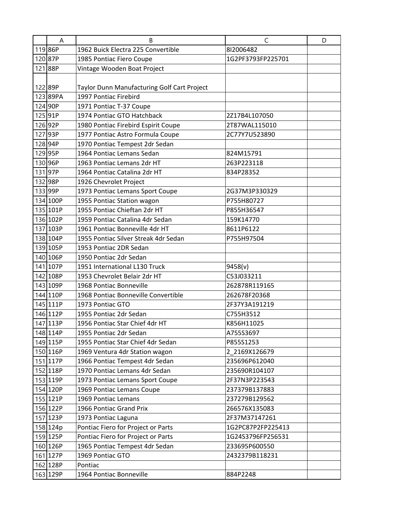| Α                   | B                                           | C                 | D |
|---------------------|---------------------------------------------|-------------------|---|
| 11986P              | 1962 Buick Electra 225 Convertible          | 812006482         |   |
| 12087P              | 1985 Pontiac Fiero Coupe                    | 1G2PF3793FP225701 |   |
| 12188P              | Vintage Wooden Boat Project                 |                   |   |
|                     |                                             |                   |   |
| 122 89P             | Taylor Dunn Manufacturing Golf Cart Project |                   |   |
| 123 89PA            | 1997 Pontiac Firebird                       |                   |   |
| 124 90P             | 1971 Pontiac T-37 Coupe                     |                   |   |
| 125 91P             | 1974 Pontiac GTO Hatchback                  | 2Z17B4L107050     |   |
| 126 92P             | 1980 Pontiac Firebird Espirit Coupe         | 2T87WAL115010     |   |
| 127 93P             | 1977 Pontiac Astro Formula Coupe            | 2C77Y7U523890     |   |
| 128 94P             | 1970 Pontiac Tempest 2dr Sedan              |                   |   |
| 129 <sub>95P</sub>  | 1964 Pontiac Lemans Sedan                   | 824M15791         |   |
| 130 96P             | 1963 Pontiac Lemans 2dr HT                  | 263P223118        |   |
| 13197P              | 1964 Pontiac Catalina 2dr HT                | 834P28352         |   |
| 132 98P             | 1926 Chevrolet Project                      |                   |   |
| 133 99P             | 1973 Pontiac Lemans Sport Coupe             | 2G37M3P330329     |   |
| 134 100P            | 1955 Pontiac Station wagon                  | P755H80727        |   |
| 135 101P            | 1955 Pontiac Chieftan 2dr HT                | P855H36547        |   |
| 136 102P            | 1959 Pontiac Catalina 4dr Sedan             | 159K14770         |   |
| 137 103P            | 1961 Pontiac Bonneville 4dr HT              | 8611P6122         |   |
| 138 104P            | 1955 Pontiac Silver Streak 4dr Sedan        | P755H97504        |   |
| 139 105P            | 1953 Pontiac 2DR Sedan                      |                   |   |
| 140 106P            | 1950 Pontiac 2dr Sedan                      |                   |   |
| 141 107P            | 1951 International L130 Truck               | 9458(v)           |   |
| 142 108P            | 1953 Chevrolet Belair 2dr HT                | C53J033211        |   |
| 143 109P            | 1968 Pontiac Bonneville                     | 262878R119165     |   |
| 1441110P            | 1968 Pontiac Bonneville Convertible         | 262678F20368      |   |
| 145 111P            | 1973 Pontiac GTO                            | 2F37Y3A191219     |   |
| 146 112P            | 1955 Pontiac 2dr Sedan                      | C755H3512         |   |
| 147 113P            | 1956 Pontiac Star Chief 4dr HT              | K856H11025        |   |
| 148 114P            | 1955 Pontiac 2dr Sedan                      | A755S3697         |   |
| 149 115P            | 1955 Pontiac Star Chief 4dr Sedan           | P855S1253         |   |
| 150 116P            | 1969 Ventura 4dr Station wagon              | 2 2169X126679     |   |
| 151 117P            | 1966 Pontiac Tempest 4dr Sedan              | 235696P612040     |   |
| 152 118P            | 1970 Pontiac Lemans 4dr Sedan               | 235690R104107     |   |
| 153 119P            | 1973 Pontiac Lemans Sport Coupe             | 2F37N3P223543     |   |
| 154 120P            | 1969 Pontiac Lemans Coupe                   | 237379B137883     |   |
| 155 121P            | 1969 Pontiac Lemans                         | 237279B129562     |   |
| 156 122P            | 1966 Pontiac Grand Prix                     | 266576X135083     |   |
| 157 123P            | 1973 Pontiac Laguna                         | 2F37M37147261     |   |
| 158 124p            | Pontiac Fiero for Project or Parts          | 1G2PC87P2FP225413 |   |
| 159 125P            | Pontiac Fiero for Project or Parts          | 1G24S3796FP256531 |   |
| 160 126P            | 1965 Pontiac Tempest 4dr Sedan              | 233695P600550     |   |
| 161 <sub>127P</sub> | 1969 Pontiac GTO                            | 2432379B118231    |   |
| 162 128P            | Pontiac                                     |                   |   |
| 163 129P            | 1964 Pontiac Bonneville                     | 884P2248          |   |